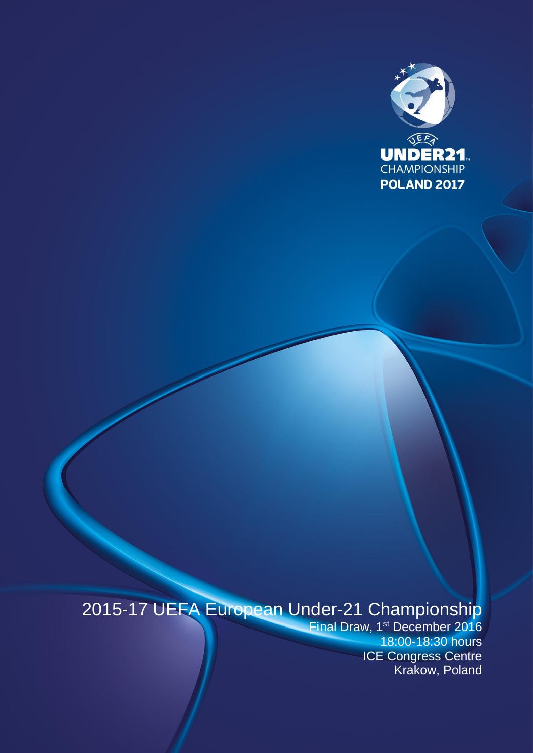

# 2015-17 UEFA European Under-21 Championship

Final Draw, 1<sup>st</sup> December 2016 18:00-18:30 hours ICE Congress Centre Krakow, Poland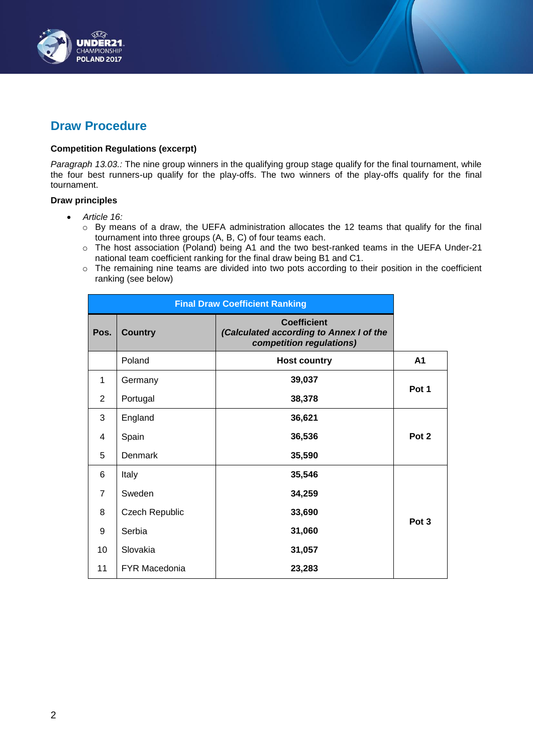

# **Draw Procedure**

# **Competition Regulations (excerpt)**

*Paragraph 13.03.:* The nine group winners in the qualifying group stage qualify for the final tournament, while the four best runners-up qualify for the play-offs. The two winners of the play-offs qualify for the final tournament.

## **Draw principles**

- *Article 16:*
	- o By means of a draw, the UEFA administration allocates the 12 teams that qualify for the final tournament into three groups (A, B, C) of four teams each.
	- o The host association (Poland) being A1 and the two best-ranked teams in the UEFA Under-21 national team coefficient ranking for the final draw being B1 and C1.
	- o The remaining nine teams are divided into two pots according to their position in the coefficient ranking (see below)

| <b>Final Draw Coefficient Ranking</b> |                |                                                                                           |                  |  |
|---------------------------------------|----------------|-------------------------------------------------------------------------------------------|------------------|--|
| Pos.                                  | <b>Country</b> | <b>Coefficient</b><br>(Calculated according to Annex I of the<br>competition regulations) |                  |  |
|                                       | Poland         | <b>Host country</b>                                                                       | A1               |  |
| 1                                     | Germany        | 39,037                                                                                    | Pot 1            |  |
| $\overline{2}$                        | Portugal       | 38,378                                                                                    |                  |  |
| 3                                     | England        | 36,621                                                                                    |                  |  |
| 4                                     | Spain          | 36,536                                                                                    | Pot 2            |  |
| 5                                     | Denmark        | 35,590                                                                                    |                  |  |
| 6                                     | Italy          | 35,546                                                                                    |                  |  |
| 7                                     | Sweden         | 34,259                                                                                    |                  |  |
| 8                                     | Czech Republic | 33,690                                                                                    | Pot <sub>3</sub> |  |
| 9                                     | Serbia         | 31,060                                                                                    |                  |  |
| 10                                    | Slovakia       | 31,057                                                                                    |                  |  |
| 11                                    | FYR Macedonia  | 23,283                                                                                    |                  |  |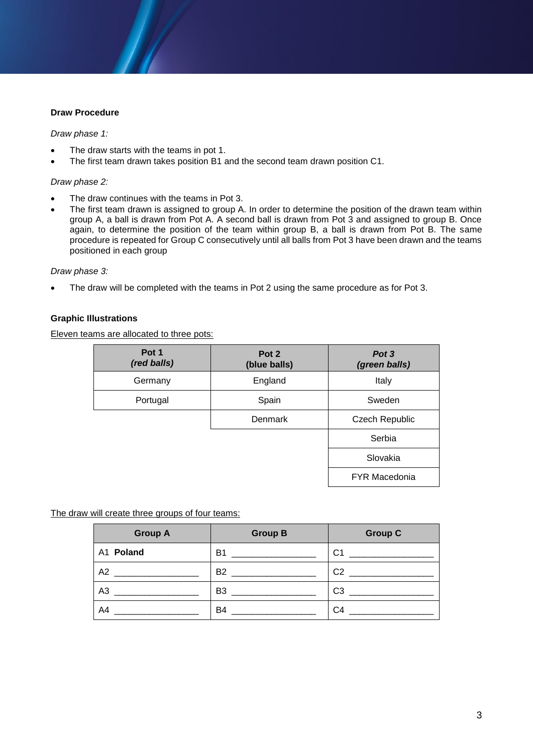# **Draw Procedure**

## *Draw phase 1:*

- The draw starts with the teams in pot 1.
- The first team drawn takes position B1 and the second team drawn position C1.

## *Draw phase 2:*

- The draw continues with the teams in Pot 3.
- The first team drawn is assigned to group A. In order to determine the position of the drawn team within group A, a ball is drawn from Pot A. A second ball is drawn from Pot 3 and assigned to group B. Once again, to determine the position of the team within group B, a ball is drawn from Pot B. The same procedure is repeated for Group C consecutively until all balls from Pot 3 have been drawn and the teams positioned in each group

#### *Draw phase 3:*

The draw will be completed with the teams in Pot 2 using the same procedure as for Pot 3.

# **Graphic Illustrations**

Eleven teams are allocated to three pots:

| Pot 1<br>(red balls) | Pot 2<br>(blue balls) | Pot 3<br>(green balls) |
|----------------------|-----------------------|------------------------|
| Germany              | England               | Italy                  |
| Portugal             | Spain                 | Sweden                 |
|                      | Denmark               | <b>Czech Republic</b>  |
|                      |                       | Serbia                 |
|                      |                       | Slovakia               |
|                      |                       | <b>FYR Macedonia</b>   |

The draw will create three groups of four teams:

| <b>Group A</b> | <b>Group B</b> | <b>Group C</b> |
|----------------|----------------|----------------|
| A1 Poland      | B <sub>1</sub> | C <sub>1</sub> |
| A2             | <b>B2</b>      | C <sub>2</sub> |
| A <sub>3</sub> | B <sub>3</sub> | C <sub>3</sub> |
| A4             | B4             | C <sub>4</sub> |